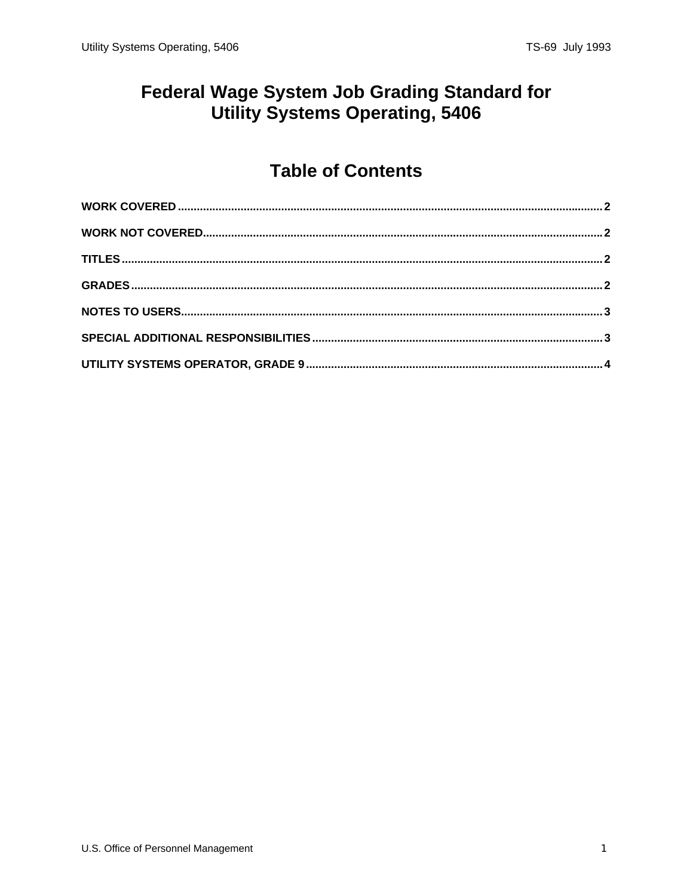### **Federal Wage System Job Grading Standard for** Utility Systems Operating, 5406

# **Table of Contents**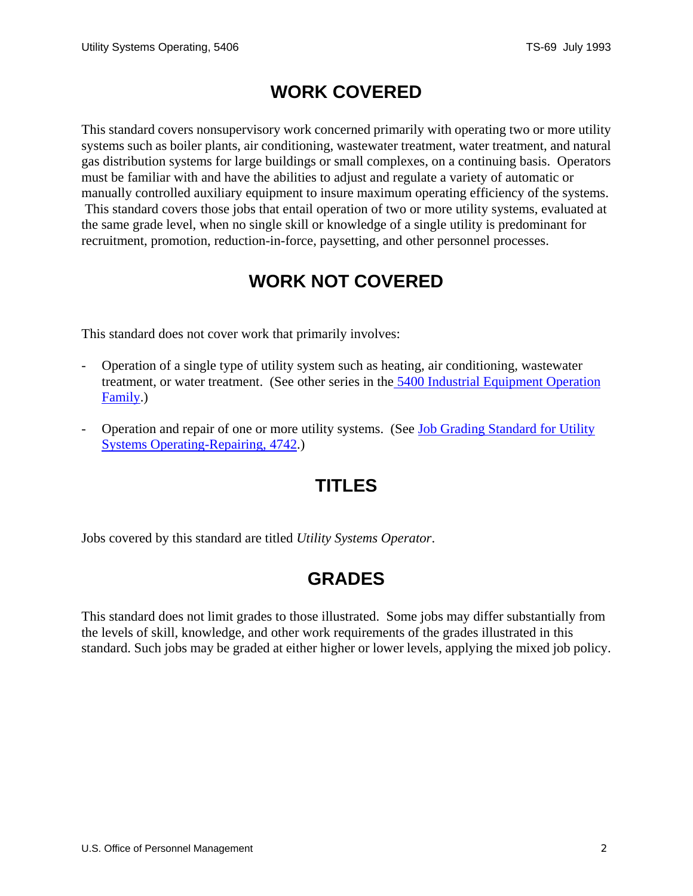### **WORK COVERED**

<span id="page-1-0"></span>This standard covers nonsupervisory work concerned primarily with operating two or more utility systems such as boiler plants, air conditioning, wastewater treatment, water treatment, and natural gas distribution systems for large buildings or small complexes, on a continuing basis. Operators must be familiar with and have the abilities to adjust and regulate a variety of automatic or manually controlled auxiliary equipment to insure maximum operating efficiency of the systems. This standard covers those jobs that entail operation of two or more utility systems, evaluated at the same grade level, when no single skill or knowledge of a single utility is predominant for recruitment, promotion, reduction-in-force, paysetting, and other personnel processes.

# **WORK NOT COVERED**

This standard does not cover work that primarily involves:

- Operation of a single type of utility system such as heating, air conditioning, wastewater treatment, or water treatment. (See other series in the [5400 Industrial Equipment Operation](/fedclass/gshbkocc.pdf)  [Family.](/fedclass/gshbkocc.pdf))
- Operation and repair of one or more utility systems. (See Job Grading Standard for Utility [Systems Operating-Repairing, 4742](/fedclass/fws4742.pdf).)

### **TITLES**

Jobs covered by this standard are titled *Utility Systems Operator*.

### **GRADES**

This standard does not limit grades to those illustrated. Some jobs may differ substantially from the levels of skill, knowledge, and other work requirements of the grades illustrated in this standard. Such jobs may be graded at either higher or lower levels, applying the mixed job policy.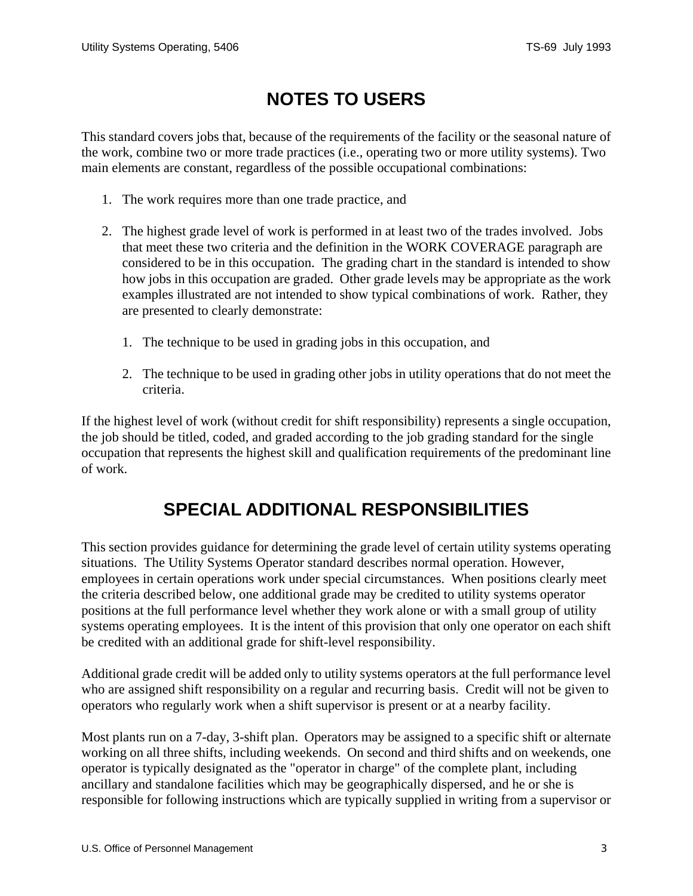# **NOTES TO USERS**

<span id="page-2-0"></span>This standard covers jobs that, because of the requirements of the facility or the seasonal nature of the work, combine two or more trade practices (i.e., operating two or more utility systems). Two main elements are constant, regardless of the possible occupational combinations:

- 1. The work requires more than one trade practice, and
- 2. The highest grade level of work is performed in at least two of the trades involved. Jobs that meet these two criteria and the definition in the WORK COVERAGE paragraph are considered to be in this occupation. The grading chart in the standard is intended to show how jobs in this occupation are graded. Other grade levels may be appropriate as the work examples illustrated are not intended to show typical combinations of work. Rather, they are presented to clearly demonstrate:
	- 1. The technique to be used in grading jobs in this occupation, and
	- 2. The technique to be used in grading other jobs in utility operations that do not meet the criteria.

If the highest level of work (without credit for shift responsibility) represents a single occupation, the job should be titled, coded, and graded according to the job grading standard for the single occupation that represents the highest skill and qualification requirements of the predominant line of work.

### **SPECIAL ADDITIONAL RESPONSIBILITIES**

This section provides guidance for determining the grade level of certain utility systems operating situations. The Utility Systems Operator standard describes normal operation. However, employees in certain operations work under special circumstances. When positions clearly meet the criteria described below, one additional grade may be credited to utility systems operator positions at the full performance level whether they work alone or with a small group of utility systems operating employees. It is the intent of this provision that only one operator on each shift be credited with an additional grade for shift-level responsibility.

Additional grade credit will be added only to utility systems operators at the full performance level who are assigned shift responsibility on a regular and recurring basis. Credit will not be given to operators who regularly work when a shift supervisor is present or at a nearby facility.

Most plants run on a 7-day, 3-shift plan. Operators may be assigned to a specific shift or alternate working on all three shifts, including weekends. On second and third shifts and on weekends, one operator is typically designated as the "operator in charge" of the complete plant, including ancillary and standalone facilities which may be geographically dispersed, and he or she is responsible for following instructions which are typically supplied in writing from a supervisor or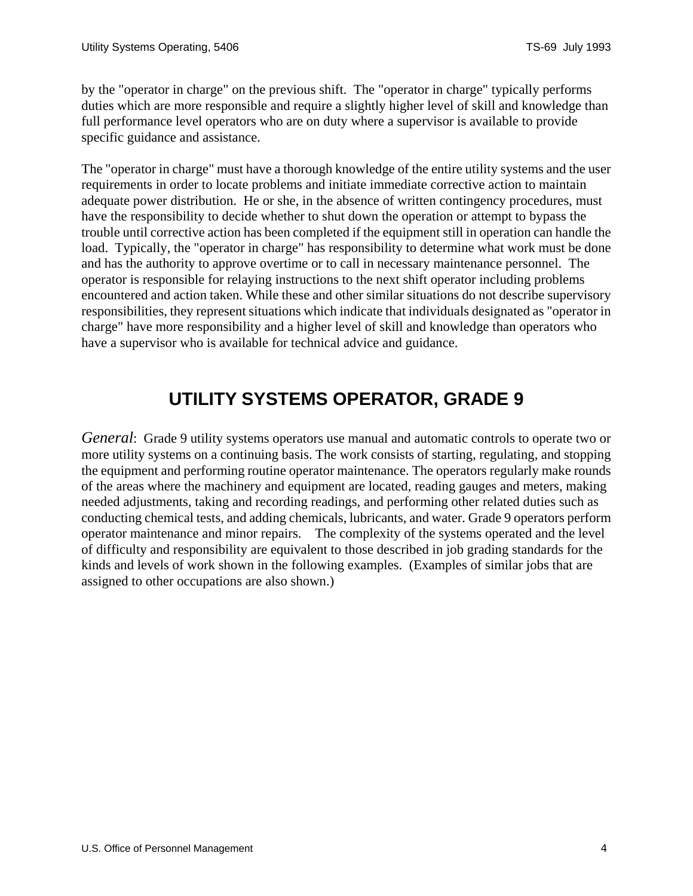<span id="page-3-0"></span>by the "operator in charge" on the previous shift. The "operator in charge" typically performs duties which are more responsible and require a slightly higher level of skill and knowledge than full performance level operators who are on duty where a supervisor is available to provide specific guidance and assistance.

The "operator in charge" must have a thorough knowledge of the entire utility systems and the user requirements in order to locate problems and initiate immediate corrective action to maintain adequate power distribution. He or she, in the absence of written contingency procedures, must have the responsibility to decide whether to shut down the operation or attempt to bypass the trouble until corrective action has been completed if the equipment still in operation can handle the load. Typically, the "operator in charge" has responsibility to determine what work must be done and has the authority to approve overtime or to call in necessary maintenance personnel. The operator is responsible for relaying instructions to the next shift operator including problems encountered and action taken. While these and other similar situations do not describe supervisory responsibilities, they represent situations which indicate that individuals designated as "operator in charge" have more responsibility and a higher level of skill and knowledge than operators who have a supervisor who is available for technical advice and guidance.

### **UTILITY SYSTEMS OPERATOR, GRADE 9**

*General*: Grade 9 utility systems operators use manual and automatic controls to operate two or more utility systems on a continuing basis. The work consists of starting, regulating, and stopping the equipment and performing routine operator maintenance. The operators regularly make rounds of the areas where the machinery and equipment are located, reading gauges and meters, making needed adjustments, taking and recording readings, and performing other related duties such as conducting chemical tests, and adding chemicals, lubricants, and water. Grade 9 operators perform operator maintenance and minor repairs. The complexity of the systems operated and the level of difficulty and responsibility are equivalent to those described in job grading standards for the kinds and levels of work shown in the following examples. (Examples of similar jobs that are assigned to other occupations are also shown.)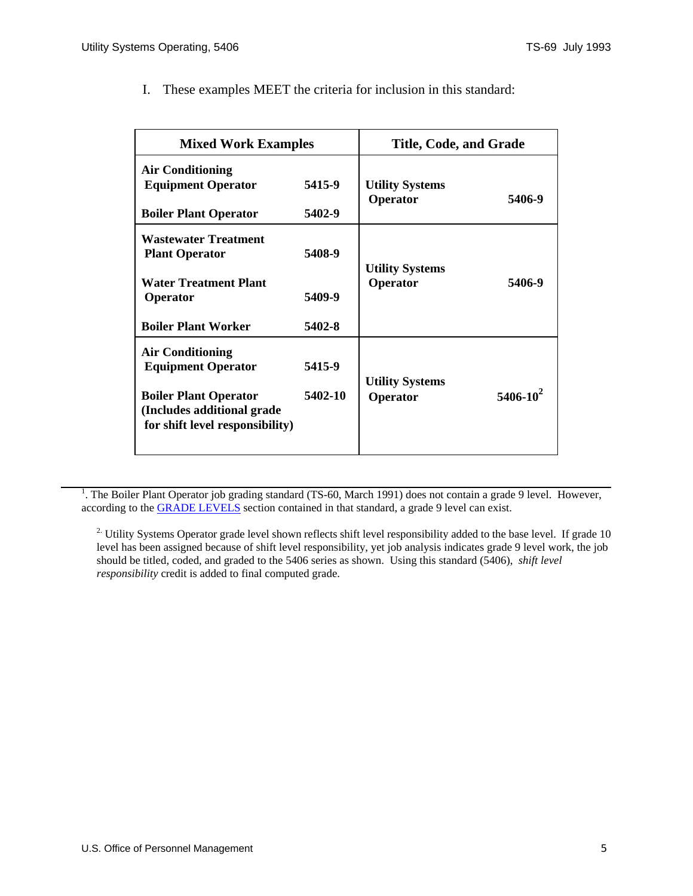| <b>Mixed Work Examples</b>                                                                                                                             |                            | Title, Code, and Grade             |                 |
|--------------------------------------------------------------------------------------------------------------------------------------------------------|----------------------------|------------------------------------|-----------------|
| <b>Air Conditioning</b><br><b>Equipment Operator</b><br><b>Boiler Plant Operator</b>                                                                   | 5415-9<br>5402-9           | <b>Utility Systems</b><br>Operator | 5406-9          |
| <b>Wastewater Treatment</b><br><b>Plant Operator</b><br><b>Water Treatment Plant</b><br>Operator<br><b>Boiler Plant Worker</b>                         | 5408-9<br>5409-9<br>5402-8 | <b>Utility Systems</b><br>Operator | 5406-9          |
| <b>Air Conditioning</b><br><b>Equipment Operator</b><br><b>Boiler Plant Operator</b><br>(Includes additional grade)<br>for shift level responsibility) | 5415-9<br>5402-10          | <b>Utility Systems</b><br>Operator | $5406 - 10^{2}$ |

I. These examples MEET the criteria for inclusion in this standard:

<sup>1</sup>. The Boiler Plant Operator job grading standard (TS-60, March 1991) does not contain a grade 9 level. However, according to the [GRADE LEVELS](#page-1-0) section contained in that standard, a grade 9 level can exist.

<sup>2.</sup> Utility Systems Operator grade level shown reflects shift level responsibility added to the base level. If grade 10 level has been assigned because of shift level responsibility, yet job analysis indicates grade 9 level work, the job should be titled, coded, and graded to the 5406 series as shown. Using this standard (5406), *shift level responsibility* credit is added to final computed grade.